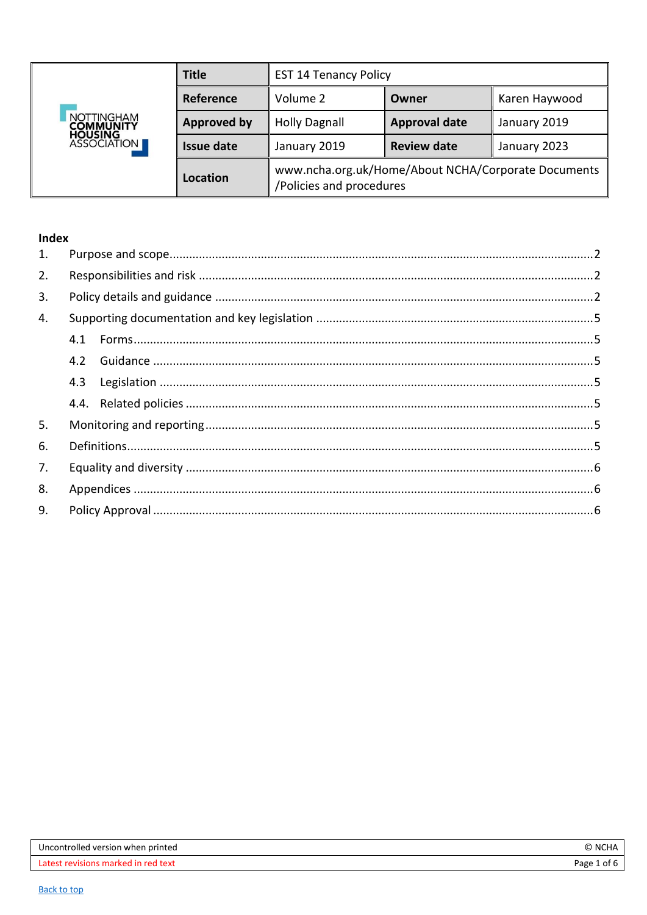<span id="page-0-0"></span>

|                                       | <b>Title</b>       | <b>EST 14 Tenancy Policy</b>                                                    |                      |               |
|---------------------------------------|--------------------|---------------------------------------------------------------------------------|----------------------|---------------|
|                                       | Reference          | Volume 2                                                                        | Owner                | Karen Haywood |
| <b>NOTTINGHAM</b><br><b>COMMUNITY</b> | <b>Approved by</b> | <b>Holly Dagnall</b>                                                            | <b>Approval date</b> | January 2019  |
| <b>HOUSING<br/>ASSOCIATION</b>        | <b>Issue date</b>  | January 2019                                                                    | <b>Review date</b>   | January 2023  |
|                                       | Location           | www.ncha.org.uk/Home/About NCHA/Corporate Documents<br>/Policies and procedures |                      |               |

## Index

| 1. |     |  |
|----|-----|--|
| 2. |     |  |
| 3. |     |  |
| 4. |     |  |
|    | 4.1 |  |
|    | 4.2 |  |
|    | 4.3 |  |
|    |     |  |
| 5. |     |  |
| 6. |     |  |
| 7. |     |  |
| 8. |     |  |
| 9. |     |  |

| Uncontrolled version when printed | $\epsilon$<br><b>NCH</b> |
|-----------------------------------|--------------------------|
| t revisions marked in red text.   | Page                     |
| atest.                            | of 6                     |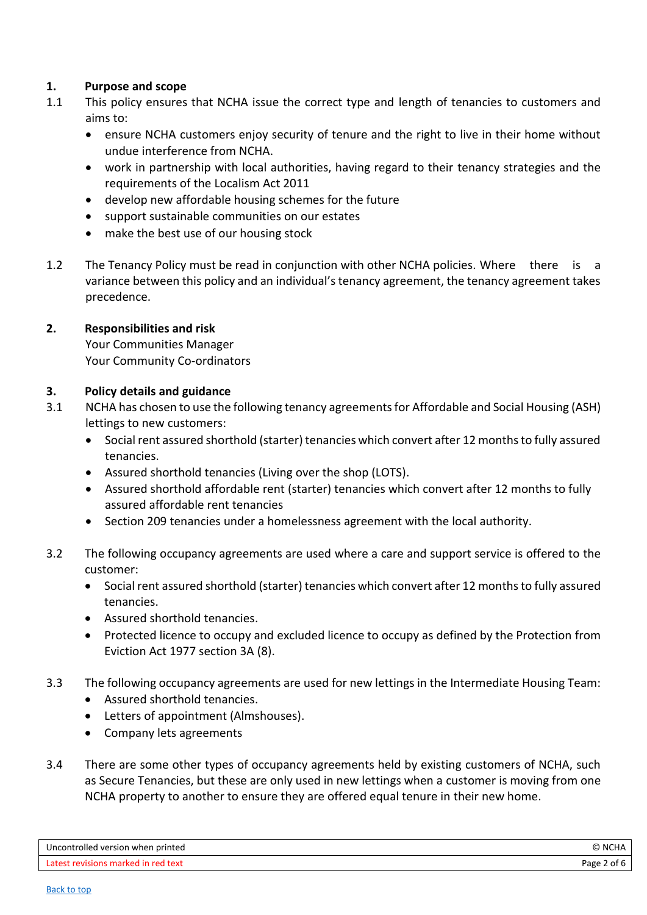# <span id="page-1-0"></span>**1. Purpose and scope**

- 1.1 This policy ensures that NCHA issue the correct type and length of tenancies to customers and aims to:
	- ensure NCHA customers enjoy security of tenure and the right to live in their home without undue interference from NCHA.
	- work in partnership with local authorities, having regard to their tenancy strategies and the requirements of the Localism Act 2011
	- develop new affordable housing schemes for the future
	- support sustainable communities on our estates
	- make the best use of our housing stock
- 1.2 The Tenancy Policy must be read in conjunction with other NCHA policies. Where there is a variance between this policy and an individual's tenancy agreement, the tenancy agreement takes precedence.

## <span id="page-1-1"></span>**2. Responsibilities and risk**

Your Communities Manager Your Community Co-ordinators

## <span id="page-1-2"></span>**3. Policy details and guidance**

- 3.1 NCHA has chosen to use the following tenancy agreements for Affordable and Social Housing (ASH) lettings to new customers:
	- Social rent assured shorthold (starter) tenancies which convert after 12 months to fully assured tenancies.
	- Assured shorthold tenancies (Living over the shop (LOTS).
	- Assured shorthold affordable rent (starter) tenancies which convert after 12 months to fully assured affordable rent tenancies
	- Section 209 tenancies under a homelessness agreement with the local authority.
- 3.2 The following occupancy agreements are used where a care and support service is offered to the customer:
	- Social rent assured shorthold (starter) tenancies which convert after 12 months to fully assured tenancies.
	- Assured shorthold tenancies.
	- Protected licence to occupy and excluded licence to occupy as defined by the Protection from Eviction Act 1977 section 3A (8).
- 3.3 The following occupancy agreements are used for new lettings in the Intermediate Housing Team:
	- Assured shorthold tenancies.
	- Letters of appointment (Almshouses).
	- Company lets agreements
- 3.4 There are some other types of occupancy agreements held by existing customers of NCHA, such as Secure Tenancies, but these are only used in new lettings when a customer is moving from one NCHA property to another to ensure they are offered equal tenure in their new home.

| Uncontrolled version when printed   | ., NC'      |
|-------------------------------------|-------------|
| Latest revisions marked in red text | Page 2 of 6 |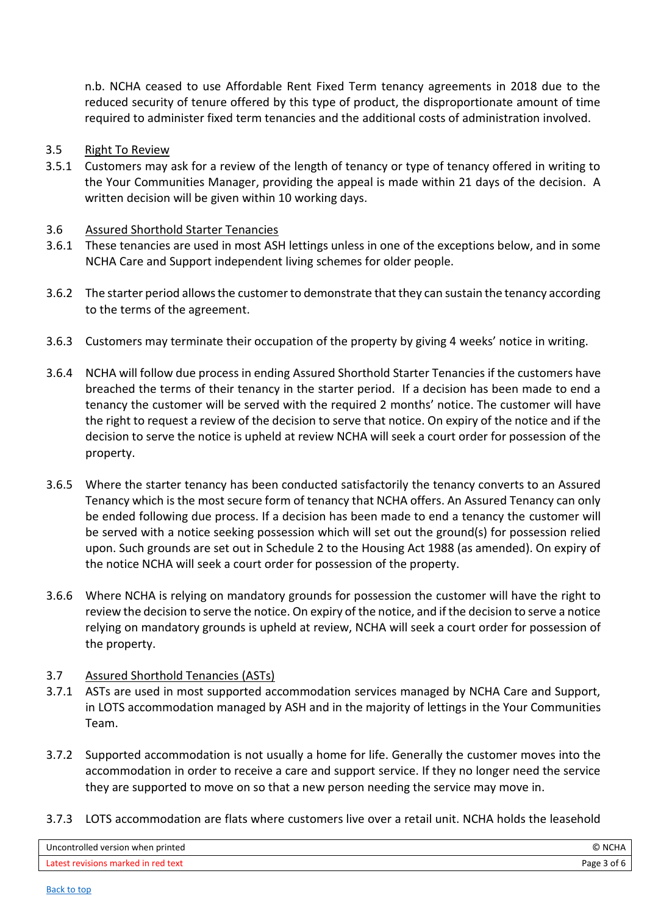n.b. NCHA ceased to use Affordable Rent Fixed Term tenancy agreements in 2018 due to the reduced security of tenure offered by this type of product, the disproportionate amount of time required to administer fixed term tenancies and the additional costs of administration involved.

### 3.5 Right To Review

3.5.1 Customers may ask for a review of the length of tenancy or type of tenancy offered in writing to the Your Communities Manager, providing the appeal is made within 21 days of the decision. A written decision will be given within 10 working days.

### 3.6 Assured Shorthold Starter Tenancies

- 3.6.1 These tenancies are used in most ASH lettings unless in one of the exceptions below, and in some NCHA Care and Support independent living schemes for older people.
- 3.6.2 The starter period allows the customer to demonstrate that they can sustain the tenancy according to the terms of the agreement.
- 3.6.3 Customers may terminate their occupation of the property by giving 4 weeks' notice in writing.
- 3.6.4 NCHA will follow due process in ending Assured Shorthold Starter Tenancies if the customers have breached the terms of their tenancy in the starter period. If a decision has been made to end a tenancy the customer will be served with the required 2 months' notice. The customer will have the right to request a review of the decision to serve that notice. On expiry of the notice and if the decision to serve the notice is upheld at review NCHA will seek a court order for possession of the property.
- 3.6.5 Where the starter tenancy has been conducted satisfactorily the tenancy converts to an Assured Tenancy which is the most secure form of tenancy that NCHA offers. An Assured Tenancy can only be ended following due process. If a decision has been made to end a tenancy the customer will be served with a notice seeking possession which will set out the ground(s) for possession relied upon. Such grounds are set out in Schedule 2 to the Housing Act 1988 (as amended). On expiry of the notice NCHA will seek a court order for possession of the property.
- 3.6.6 Where NCHA is relying on mandatory grounds for possession the customer will have the right to review the decision to serve the notice. On expiry of the notice, and if the decision to serve a notice relying on mandatory grounds is upheld at review, NCHA will seek a court order for possession of the property.

#### 3.7 Assured Shorthold Tenancies (ASTs)

- 3.7.1 ASTs are used in most supported accommodation services managed by NCHA Care and Support, in LOTS accommodation managed by ASH and in the majority of lettings in the Your Communities Team.
- 3.7.2 Supported accommodation is not usually a home for life. Generally the customer moves into the accommodation in order to receive a care and support service. If they no longer need the service they are supported to move on so that a new person needing the service may move in.
- 3.7.3 LOTS accommodation are flats where customers live over a retail unit. NCHA holds the leasehold

| Uncontrolled version when printed   | <b>O</b> NCHA  |
|-------------------------------------|----------------|
| Latest revisions marked in red text | Page<br>3 of 6 |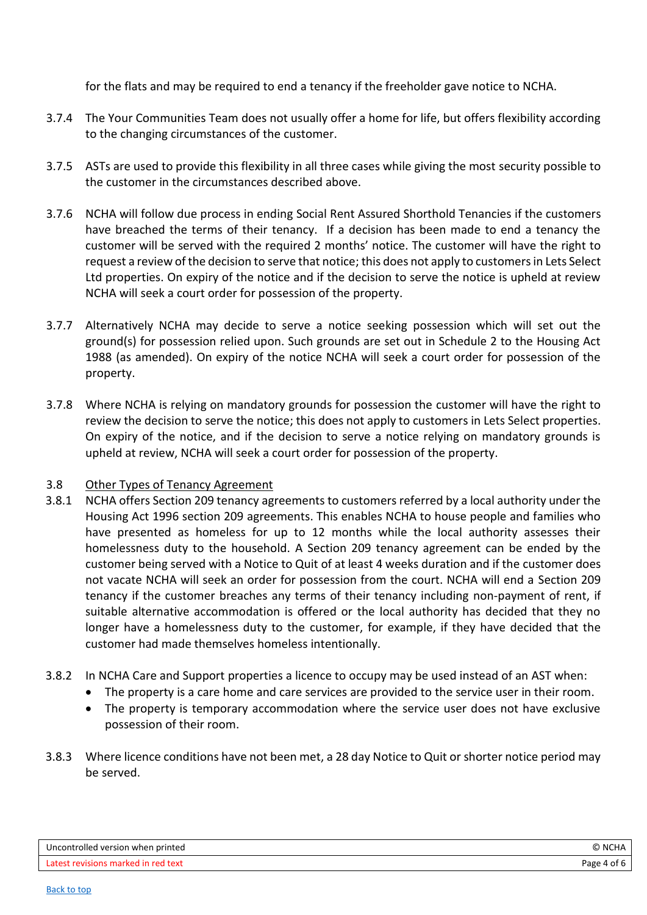for the flats and may be required to end a tenancy if the freeholder gave notice to NCHA.

- 3.7.4 The Your Communities Team does not usually offer a home for life, but offers flexibility according to the changing circumstances of the customer.
- 3.7.5 ASTs are used to provide this flexibility in all three cases while giving the most security possible to the customer in the circumstances described above.
- 3.7.6 NCHA will follow due process in ending Social Rent Assured Shorthold Tenancies if the customers have breached the terms of their tenancy. If a decision has been made to end a tenancy the customer will be served with the required 2 months' notice. The customer will have the right to request a review of the decision to serve that notice; this does not apply to customers in Lets Select Ltd properties. On expiry of the notice and if the decision to serve the notice is upheld at review NCHA will seek a court order for possession of the property.
- 3.7.7 Alternatively NCHA may decide to serve a notice seeking possession which will set out the ground(s) for possession relied upon. Such grounds are set out in Schedule 2 to the Housing Act 1988 (as amended). On expiry of the notice NCHA will seek a court order for possession of the property.
- 3.7.8 Where NCHA is relying on mandatory grounds for possession the customer will have the right to review the decision to serve the notice; this does not apply to customers in Lets Select properties. On expiry of the notice, and if the decision to serve a notice relying on mandatory grounds is upheld at review, NCHA will seek a court order for possession of the property.

## 3.8 Other Types of Tenancy Agreement

- 3.8.1 NCHA offers Section 209 tenancy agreements to customers referred by a local authority under the Housing Act 1996 section 209 agreements. This enables NCHA to house people and families who have presented as homeless for up to 12 months while the local authority assesses their homelessness duty to the household. A Section 209 tenancy agreement can be ended by the customer being served with a Notice to Quit of at least 4 weeks duration and if the customer does not vacate NCHA will seek an order for possession from the court. NCHA will end a Section 209 tenancy if the customer breaches any terms of their tenancy including non-payment of rent, if suitable alternative accommodation is offered or the local authority has decided that they no longer have a homelessness duty to the customer, for example, if they have decided that the customer had made themselves homeless intentionally.
- 3.8.2 In NCHA Care and Support properties a licence to occupy may be used instead of an AST when:
	- The property is a care home and care services are provided to the service user in their room.
	- The property is temporary accommodation where the service user does not have exclusive possession of their room.
- 3.8.3 Where licence conditions have not been met, a 28 day Notice to Quit or shorter notice period may be served.

| Uncontrolled version when printed   | © NCHA      |
|-------------------------------------|-------------|
| Latest revisions marked in red text | Page 4 of 6 |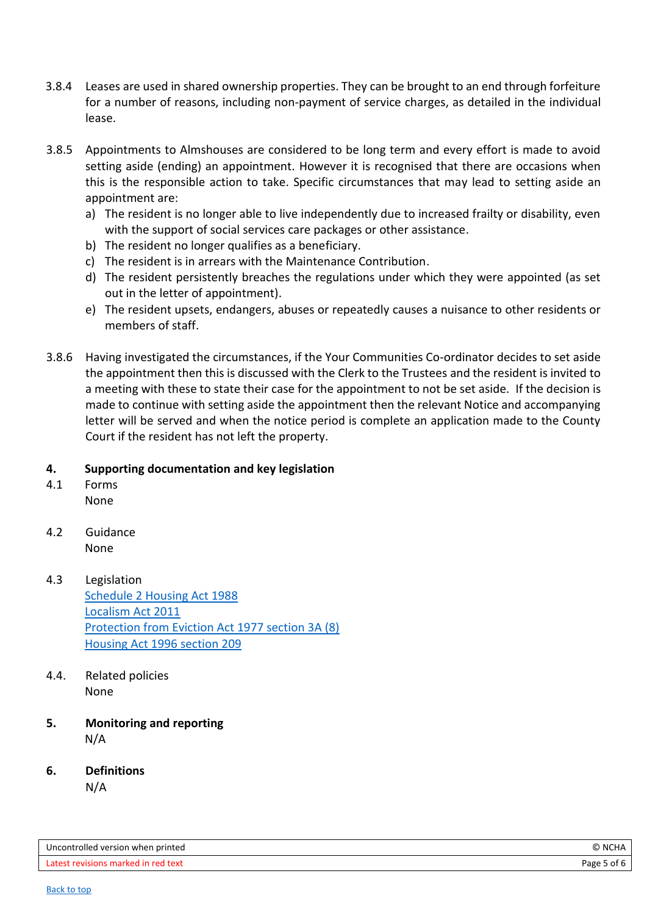- 3.8.4 Leases are used in shared ownership properties. They can be brought to an end through forfeiture for a number of reasons, including non-payment of service charges, as detailed in the individual lease.
- 3.8.5 Appointments to Almshouses are considered to be long term and every effort is made to avoid setting aside (ending) an appointment. However it is recognised that there are occasions when this is the responsible action to take. Specific circumstances that may lead to setting aside an appointment are:
	- a) The resident is no longer able to live independently due to increased frailty or disability, even with the support of social services care packages or other assistance.
	- b) The resident no longer qualifies as a beneficiary.
	- c) The resident is in arrears with the Maintenance Contribution.
	- d) The resident persistently breaches the regulations under which they were appointed (as set out in the letter of appointment).
	- e) The resident upsets, endangers, abuses or repeatedly causes a nuisance to other residents or members of staff.
- 3.8.6 Having investigated the circumstances, if the Your Communities Co-ordinator decides to set aside the appointment then this is discussed with the Clerk to the Trustees and the resident is invited to a meeting with these to state their case for the appointment to not be set aside. If the decision is made to continue with setting aside the appointment then the relevant Notice and accompanying letter will be served and when the notice period is complete an application made to the County Court if the resident has not left the property.

## <span id="page-4-0"></span>**4. Supporting documentation and key legislation**

- <span id="page-4-1"></span>4.1 Forms None
- <span id="page-4-2"></span>4.2 Guidance None
- <span id="page-4-3"></span>4.3 Legislation [Schedule 2 Housing Act 1988](https://www.legislation.gov.uk/ukpga/1988/50/schedule/2) [Localism Act 2011](https://www.legislation.gov.uk/ukpga/2011/20/contents/enacted) Protection from [Eviction Act 1977 section 3A](https://www.legislation.gov.uk/ukpga/1977/43/section/3A) (8) [Housing Act 1996 section 209](https://www.legislation.gov.uk/ukpga/1996/52/section/209/2000-04-03?view=extent)
- <span id="page-4-4"></span>4.4. Related policies None
- <span id="page-4-5"></span>**5. Monitoring and reporting** N/A
- <span id="page-4-6"></span>**6. Definitions**

N/A

| Uncontrolled version when printed   | C NCHA      |
|-------------------------------------|-------------|
| Latest revisions marked in red text | Page 5 of 6 |